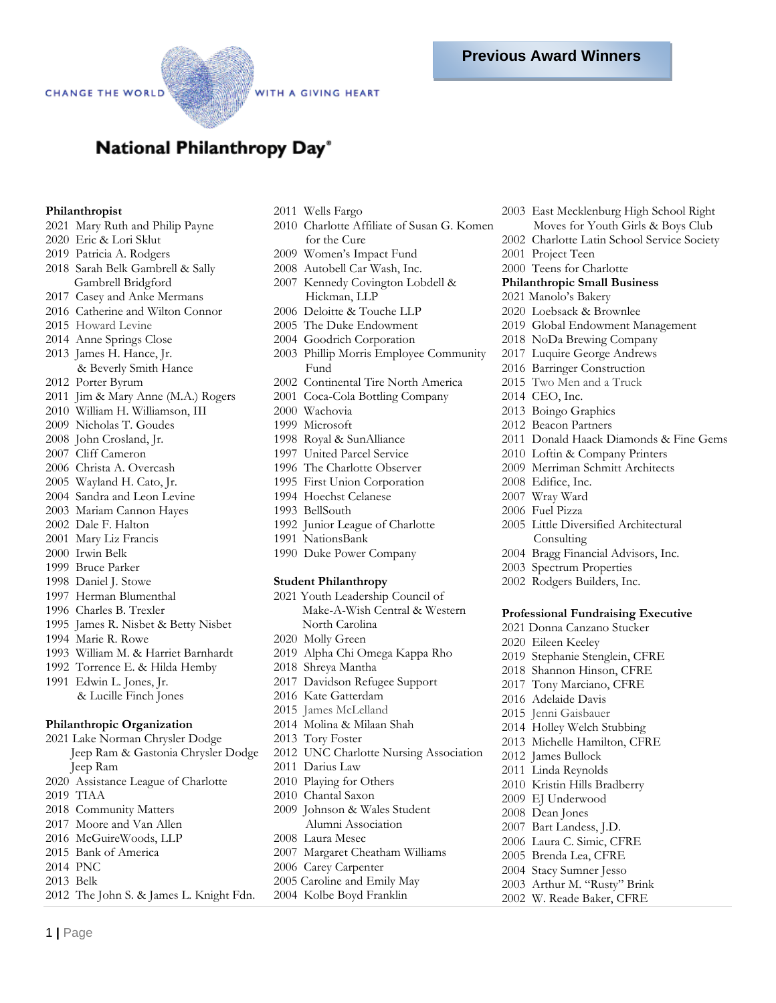WITH A GIVING HEART

# National Philanthropy Day®

## **Philanthropist**

- 2021 Mary Ruth and Philip Payne
- 2020 Eric & Lori Sklut
- 2019 Patricia A. Rodgers
- 2018 Sarah Belk Gambrell & Sally Gambrell Bridgford
- 2017 Casey and Anke Mermans
- 2016 Catherine and Wilton Connor
- 2015 Howard Levine
- 2014 Anne Springs Close
- 2013 James H. Hance, Jr. & Beverly Smith Hance
- 2012 Porter Byrum
- 2011 Jim & Mary Anne (M.A.) Rogers
- 2010 William H. Williamson, III
- 2009 Nicholas T. Goudes
- 2008 John Crosland, Jr.
- 2007 Cliff Cameron
- 2006 Christa A. Overcash
- 2005 Wayland H. Cato, Jr.
- 2004 Sandra and Leon Levine
- 2003 Mariam Cannon Hayes
- 2002 Dale F. Halton
- 2001 Mary Liz Francis
- 2000 Irwin Belk
- 1999 Bruce Parker
- 1998 Daniel J. Stowe
- 1997 Herman Blumenthal
- 1996 Charles B. Trexler
- 1995 James R. Nisbet & Betty Nisbet
- 1994 Marie R. Rowe

1 **|** Page

- 1993 William M. & Harriet Barnhardt
- 1992 Torrence E. & Hilda Hemby
- 1991 Edwin L. Jones, Jr. & Lucille Finch Jones

#### **Philanthropic Organization**

2021 Lake Norman Chrysler Dodge Jeep Ram & Gastonia Chrysler Dodge Jeep Ram 2020 Assistance League of Charlotte 2019 TIAA 2018 Community Matters 2017 Moore and Van Allen 2016 McGuireWoods, LLP 2015 Bank of America 2014 PNC 2013 Belk 2012 The John S. & James L. Knight Fdn.

- 2011 Wells Fargo
- 2010 Charlotte Affiliate of Susan G. Komen for the Cure
- 2009 Women's Impact Fund
- 2008 Autobell Car Wash, Inc.
- 2007 Kennedy Covington Lobdell & Hickman, LLP
- 2006 Deloitte & Touche LLP
- 2005 The Duke Endowment
- 2004 Goodrich Corporation
- 2003 Phillip Morris Employee Community Fund
- 2002 Continental Tire North America
- 2001 Coca-Cola Bottling Company
- 2000 Wachovia
- 1999 Microsoft
- 1998 Royal & SunAlliance
- 1997 United Parcel Service
- 1996 The Charlotte Observer
- 1995 First Union Corporation
- 1994 Hoechst Celanese
- 1993 BellSouth
- 1992 Junior League of Charlotte
- 1991 NationsBank
- 1990 Duke Power Company

#### **Student Philanthropy**

- 2021 Youth Leadership Council of Make-A-Wish Central & Western North Carolina 2020 Molly Green 2019 Alpha Chi Omega Kappa Rho 2018 Shreya Mantha 2017 Davidson Refugee Support 2016 Kate Gatterdam 2015 James McLelland 2014 Molina & Milaan Shah 2013 Tory Foster 2012 UNC Charlotte Nursing Association 2011 Darius Law 2010 Playing for Others 2010 Chantal Saxon 2009 Johnson & Wales Student Alumni Association 2008 Laura Mesec 2007 Margaret Cheatham Williams 2006 Carey Carpenter
- 2005 Caroline and Emily May 2004 Kolbe Boyd Franklin
- 
- 2003 East Mecklenburg High School Right Moves for Youth Girls & Boys Club
- 2002 Charlotte Latin School Service Society
- 2001 Project Teen
- 2000 Teens for Charlotte
- **Philanthropic Small Business**
- 2021 Manolo's Bakery
- 2020 Loebsack & Brownlee
- 2019 Global Endowment Management
	-
- 2018 NoDa Brewing Company
- 2017 Luquire George Andrews
- 2016 Barringer Construction
- 2015 Two Men and a Truck
- 2014 CEO, Inc.
- 2013 Boingo Graphics
- 2012 Beacon Partners
- 2011 Donald Haack Diamonds & Fine Gems
- 2010 Loftin & Company Printers
- 2009 Merriman Schmitt Architects
- 2008 Edifice, Inc.
- 2007 Wray Ward
- 2006 Fuel Pizza
- 2005 Little Diversified Architectural Consulting
- 2004 Bragg Financial Advisors, Inc.
- 2003 Spectrum Properties
- 2002 Rodgers Builders, Inc.

#### **Professional Fundraising Executive**

- 2021 Donna Canzano Stucker
- 2020 Eileen Keeley
- 2019 Stephanie Stenglein, CFRE
- 2018 Shannon Hinson, CFRE
- 2017 Tony Marciano, CFRE
- 2016 Adelaide Davis
- 2015Jenni Gaisbauer

2012 James Bullock 2011 Linda Reynolds 2010 Kristin Hills Bradberry 2009 EJ Underwood 2008 Dean Jones 2007 Bart Landess, J.D. 2006 Laura C. Simic, CFRE 2005 Brenda Lea, CFRE 2004 Stacy Sumner Jesso 2003 Arthur M. "Rusty" Brink 2002 W. Reade Baker, CFRE

- 2014 Holley Welch Stubbing
- 2013 Michelle Hamilton, CFRE